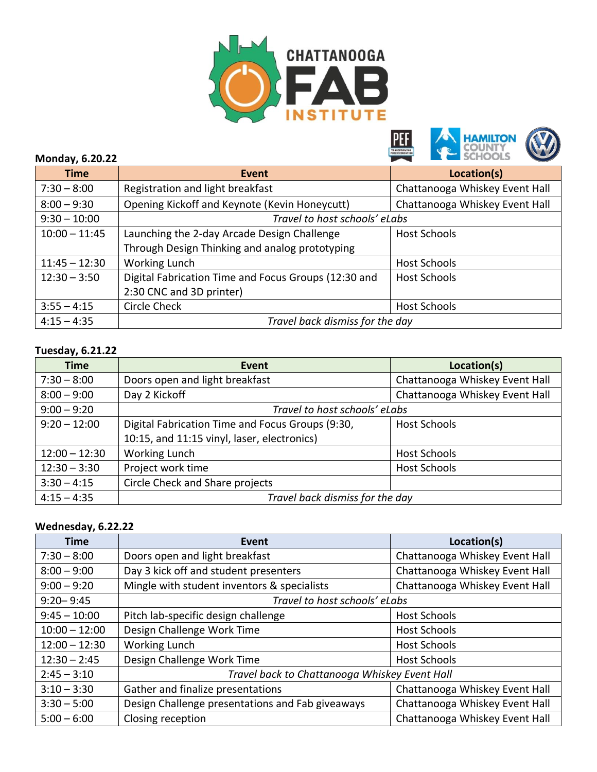





## **Monday, 6.20.22**

| <b>Time</b>     | Event                                                | Location(s)                    |
|-----------------|------------------------------------------------------|--------------------------------|
| $7:30 - 8:00$   | Registration and light breakfast                     | Chattanooga Whiskey Event Hall |
| $8:00 - 9:30$   | Opening Kickoff and Keynote (Kevin Honeycutt)        | Chattanooga Whiskey Event Hall |
| $9:30 - 10:00$  | Travel to host schools' eLabs                        |                                |
| $10:00 - 11:45$ | Launching the 2-day Arcade Design Challenge          | <b>Host Schools</b>            |
|                 | Through Design Thinking and analog prototyping       |                                |
| $11:45 - 12:30$ | Working Lunch                                        | <b>Host Schools</b>            |
| $12:30 - 3:50$  | Digital Fabrication Time and Focus Groups (12:30 and | <b>Host Schools</b>            |
|                 | 2:30 CNC and 3D printer)                             |                                |
| $3:55 - 4:15$   | <b>Circle Check</b>                                  | <b>Host Schools</b>            |
| $4:15 - 4:35$   | Travel back dismiss for the day                      |                                |

## **Tuesday, 6.21.22**

| <b>Time</b>     | Event                                            | Location(s)                    |
|-----------------|--------------------------------------------------|--------------------------------|
| $7:30 - 8:00$   | Doors open and light breakfast                   | Chattanooga Whiskey Event Hall |
| $8:00 - 9:00$   | Day 2 Kickoff                                    | Chattanooga Whiskey Event Hall |
| $9:00 - 9:20$   | Travel to host schools' eLabs                    |                                |
| $9:20 - 12:00$  | Digital Fabrication Time and Focus Groups (9:30, | <b>Host Schools</b>            |
|                 | 10:15, and 11:15 vinyl, laser, electronics)      |                                |
| $12:00 - 12:30$ | Working Lunch                                    | <b>Host Schools</b>            |
| $12:30 - 3:30$  | Project work time                                | <b>Host Schools</b>            |
| $3:30 - 4:15$   | Circle Check and Share projects                  |                                |
| $4:15 - 4:35$   | Travel back dismiss for the day                  |                                |

## **Wednesday, 6.22.22**

| <b>Time</b>     | Event                                            | Location(s)                    |
|-----------------|--------------------------------------------------|--------------------------------|
| $7:30 - 8:00$   | Doors open and light breakfast                   | Chattanooga Whiskey Event Hall |
| $8:00 - 9:00$   | Day 3 kick off and student presenters            | Chattanooga Whiskey Event Hall |
| $9:00 - 9:20$   | Mingle with student inventors & specialists      | Chattanooga Whiskey Event Hall |
| $9:20 - 9:45$   | Travel to host schools' eLabs                    |                                |
| $9:45 - 10:00$  | Pitch lab-specific design challenge              | <b>Host Schools</b>            |
| $10:00 - 12:00$ | Design Challenge Work Time                       | <b>Host Schools</b>            |
| $12:00 - 12:30$ | Working Lunch                                    | <b>Host Schools</b>            |
| $12:30 - 2:45$  | Design Challenge Work Time                       | <b>Host Schools</b>            |
| $2:45 - 3:10$   | Travel back to Chattanooga Whiskey Event Hall    |                                |
| $3:10 - 3:30$   | Gather and finalize presentations                | Chattanooga Whiskey Event Hall |
| $3:30 - 5:00$   | Design Challenge presentations and Fab giveaways | Chattanooga Whiskey Event Hall |
| $5:00 - 6:00$   | Closing reception                                | Chattanooga Whiskey Event Hall |